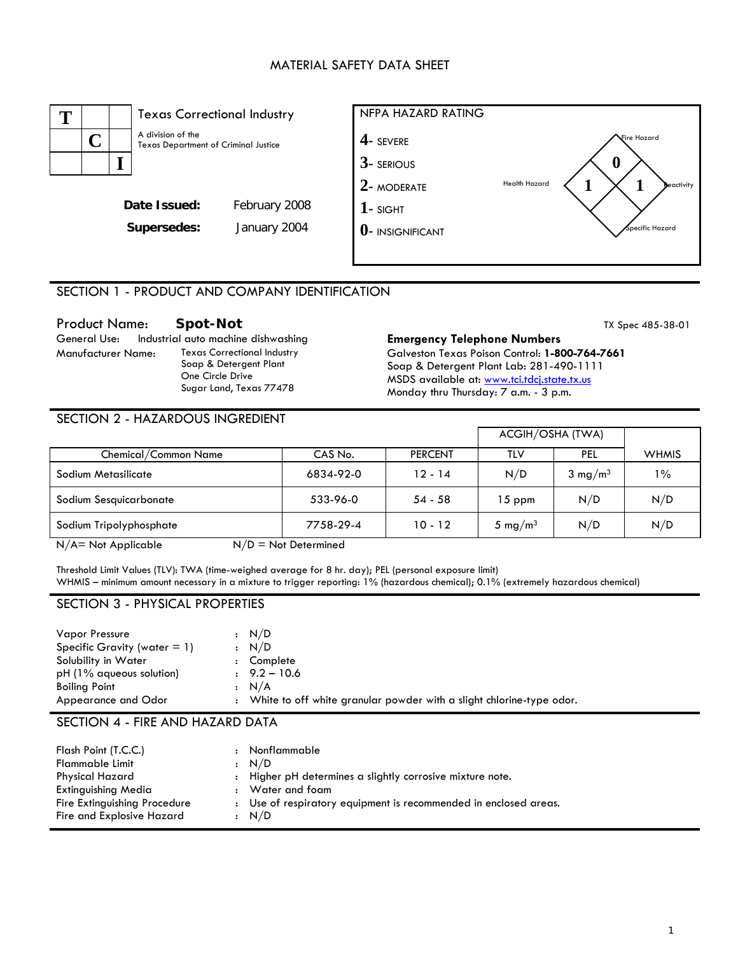# MATERIAL SAFETY DATA SHEET



## SECTION 1 - PRODUCT AND COMPANY IDENTIFICATION

Manufacturer Name: Texas Correctional Industry Soap & Detergent Plant One Circle Drive Sugar Land, Texas 77478

#### Product Name: **Spot-Not**<br>
General Use: Industrial auto machine dishwashing **Emergency Telephone Numbers** TX Spec 485-38-01 **Emergency Telephone Numbers** Galveston Texas Poison Control: **1-800-764-7661** Soap & Detergent Plant Lab: 281-490-1111 MSDS available at: www.tci.tdcj.state.tx.us Monday thru Thursday: 7 a.m. - 3 p.m.

#### SECTION 2 - HAZARDOUS INGREDIENT

|           |                |                     | ACGIH/OSHA (TWA)   |              |
|-----------|----------------|---------------------|--------------------|--------------|
| CAS No.   | <b>PERCENT</b> | TLV                 | PEL                | <b>WHMIS</b> |
| 6834-92-0 | $12 - 14$      | N/D                 | $3 \text{ mg/m}^3$ | $1\%$        |
| 533-96-0  | $54 - 58$      | $15$ ppm            | N/D                | N/D          |
| 7758-29-4 | $10 - 12$      | 5 mg/m <sup>3</sup> | N/D                | N/D          |
|           |                |                     |                    |              |

 $N/A$  = Not Applicable  $N/D$  = Not Determined

Threshold Limit Values (TLV): TWA (time-weighed average for 8 hr. day); PEL (personal exposure limit) WHMIS – minimum amount necessary in a mixture to trigger reporting: 1% (hazardous chemical); 0.1% (extremely hazardous chemical)

#### SECTION 3 - PHYSICAL PROPERTIES

| <b>Vapor Pressure</b><br>Specific Gravity (water $= 1$ ) | : N/D<br>: N/D                                                         |
|----------------------------------------------------------|------------------------------------------------------------------------|
| Solubility in Water<br>$pH(1%$ aqueous solution)         | Complete<br>$9.2 - 10.6$                                               |
| <b>Boiling Point</b>                                     | : N/A                                                                  |
| Appearance and Odor                                      | : White to off white granular powder with a slight chlorine-type odor. |

#### SECTION 4 - FIRE AND HAZARD DATA

| Flash Point (T.C.C.)         |              | Nonflammable                                                     |
|------------------------------|--------------|------------------------------------------------------------------|
| <b>Flammable Limit</b>       |              | : N/D                                                            |
| Physical Hazard              | $\mathbf{r}$ | Higher pH determines a slightly corrosive mixture note.          |
| Extinguishing Media          |              | Water and foam                                                   |
| Fire Extinguishing Procedure |              | : Use of respiratory equipment is recommended in enclosed areas. |
| Fire and Explosive Hazard    |              | : N/D                                                            |